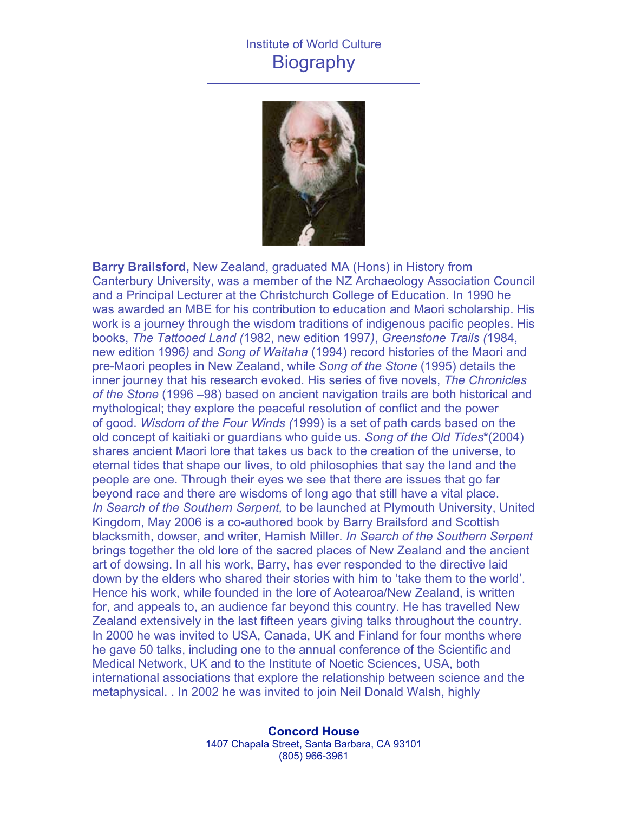## Institute of World Culture **Biography**



**Barry Brailsford,** New Zealand, graduated MA (Hons) in History from Canterbury University, was a member of the NZ Archaeology Association Council and a Principal Lecturer at the Christchurch College of Education. In 1990 he was awarded an MBE for his contribution to education and Maori scholarship. His work is a journey through the wisdom traditions of indigenous pacific peoples. His books, *The Tattooed Land (*1982, new edition 1997*)*, *Greenstone Trails (*1984, new edition 1996*)* and *Song of Waitaha* (1994) record histories of the Maori and pre-Maori peoples in New Zealand, while *Song of the Stone* (1995) details the inner journey that his research evoked. His series of five novels, *The Chronicles of the Stone* (1996 –98) based on ancient navigation trails are both historical and mythological; they explore the peaceful resolution of conflict and the power of good. *Wisdom of the Four Winds (*1999) is a set of path cards based on the old concept of kaitiaki or guardians who guide us. *Song of the Old Tides***\***(2004) shares ancient Maori lore that takes us back to the creation of the universe, to eternal tides that shape our lives, to old philosophies that say the land and the people are one. Through their eyes we see that there are issues that go far beyond race and there are wisdoms of long ago that still have a vital place. *In Search of the Southern Serpent,* to be launched at Plymouth University, United Kingdom, May 2006 is a co-authored book by Barry Brailsford and Scottish blacksmith, dowser, and writer, Hamish Miller. *In Search of the Southern Serpent* brings together the old lore of the sacred places of New Zealand and the ancient art of dowsing. In all his work, Barry, has ever responded to the directive laid down by the elders who shared their stories with him to 'take them to the world'. Hence his work, while founded in the lore of Aotearoa/New Zealand, is written for, and appeals to, an audience far beyond this country. He has travelled New Zealand extensively in the last fifteen years giving talks throughout the country. In 2000 he was invited to USA, Canada, UK and Finland for four months where he gave 50 talks, including one to the annual conference of the Scientific and Medical Network, UK and to the Institute of Noetic Sciences, USA, both international associations that explore the relationship between science and the metaphysical. . In 2002 he was invited to join Neil Donald Walsh, highly

> **Concord House** 1407 Chapala Street, Santa Barbara, CA 93101 (805) 966-3961